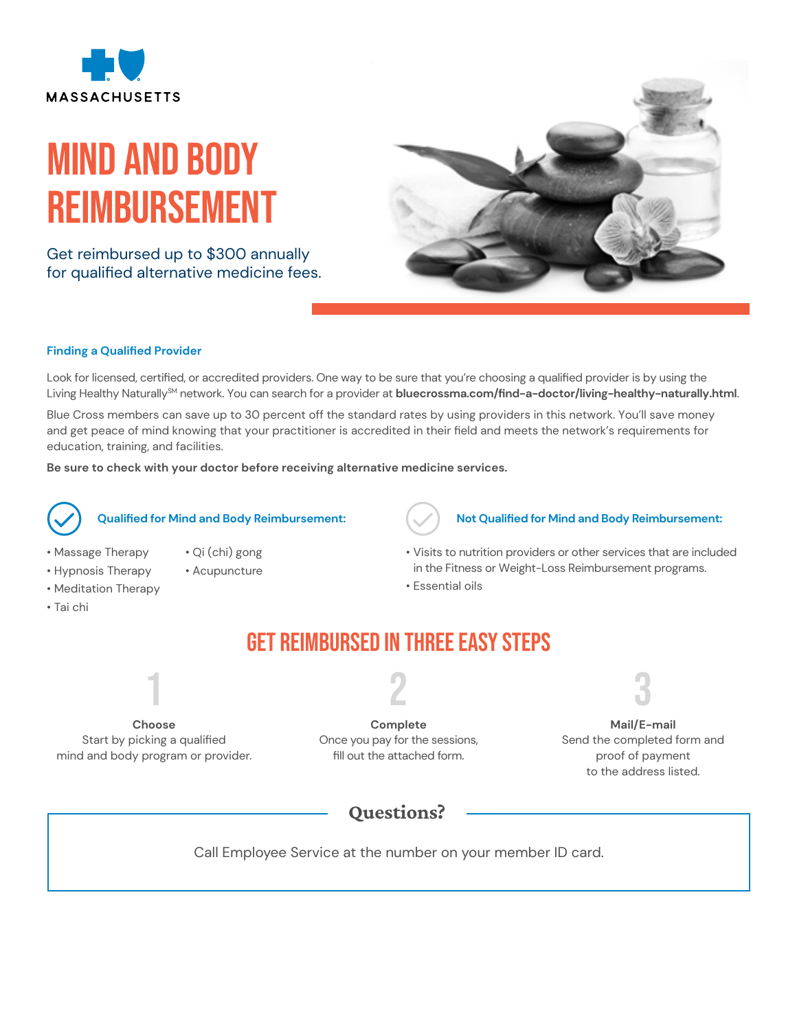

# Mind and body Reimbursement

Get reimbursed up to \$300 annually for qualified alternative medicine fees.



### **Finding a Qualified Provider**

Look for licensed, certified, or accredited providers. One way to be sure that you're choosing a qualified provider is by using the Living Healthy NaturallySM network. You can search for a provider at **bluecrossma.com/find-a-doctor/living-healthy-naturally.html**.

Blue Cross members can save up to 30 percent off the standard rates by using providers in this network. You'll save money and get peace of mind knowing that your practitioner is accredited in their field and meets the network's requirements for education, training, and facilities.

**Be sure to check with your doctor before receiving alternative medicine services.**



- Qi (chi) gong
- Acupuncture
- Hypnosis Therapy • Meditation Therapy

• Massage Therapy

• Tai chi

### **Qualified for Mind and Body Reimbursement:**

- **Not Qualified for Mind and Body Reimbursement:**
- Visits to nutrition providers or other services that are included in the Fitness or Weight-Loss Reimbursement programs.
- Essential oils

### Get Reimbursed in Three Easy Steps

2

**Choose**  Start by picking a qualified mind and body program or provider.

1

**Complete** Once you pay for the sessions, fill out the attached form.

3

**Mail/E-mail** Send the completed form and proof of payment to the address listed.

### Questions?

Call Employee Service at the number on your member ID card.